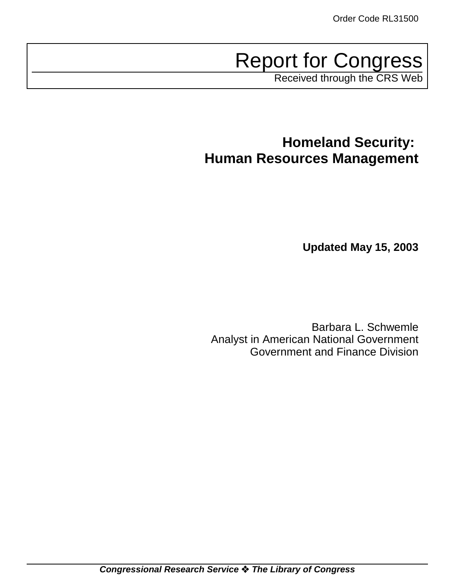Report for Congress

Received through the CRS Web

# **Homeland Security: Human Resources Management**

**Updated May 15, 2003**

Barbara L. Schwemle Analyst in American National Government Government and Finance Division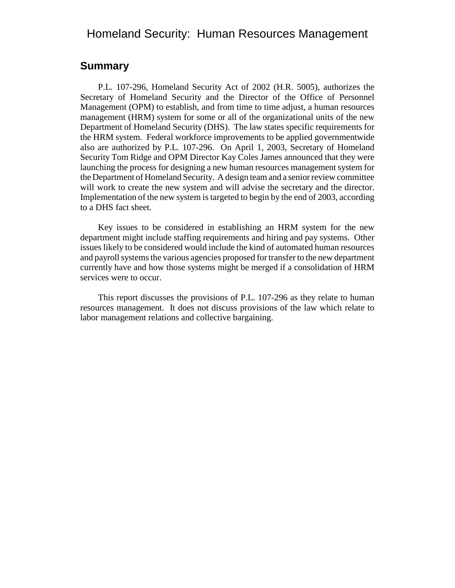# Homeland Security: Human Resources Management

### **Summary**

P.L. 107-296, Homeland Security Act of 2002 (H.R. 5005), authorizes the Secretary of Homeland Security and the Director of the Office of Personnel Management (OPM) to establish, and from time to time adjust, a human resources management (HRM) system for some or all of the organizational units of the new Department of Homeland Security (DHS). The law states specific requirements for the HRM system. Federal workforce improvements to be applied governmentwide also are authorized by P.L. 107-296. On April 1, 2003, Secretary of Homeland Security Tom Ridge and OPM Director Kay Coles James announced that they were launching the process for designing a new human resources management system for the Department of Homeland Security. A design team and a senior review committee will work to create the new system and will advise the secretary and the director. Implementation of the new system is targeted to begin by the end of 2003, according to a DHS fact sheet.

Key issues to be considered in establishing an HRM system for the new department might include staffing requirements and hiring and pay systems. Other issues likely to be considered would include the kind of automated human resources and payroll systems the various agencies proposed for transfer to the new department currently have and how those systems might be merged if a consolidation of HRM services were to occur.

This report discusses the provisions of P.L. 107-296 as they relate to human resources management. It does not discuss provisions of the law which relate to labor management relations and collective bargaining.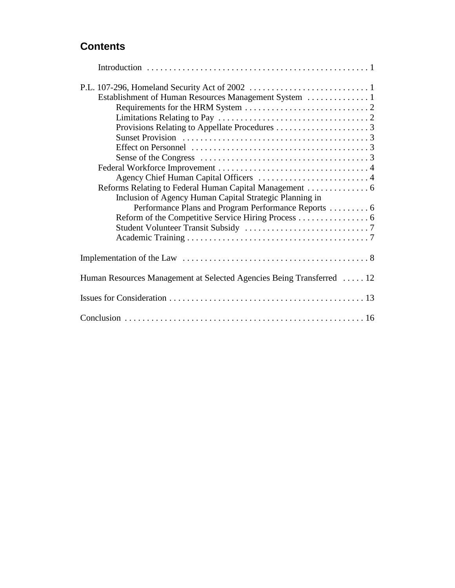# **Contents**

| Inclusion of Agency Human Capital Strategic Planning in               |
|-----------------------------------------------------------------------|
| Performance Plans and Program Performance Reports  6                  |
|                                                                       |
|                                                                       |
|                                                                       |
|                                                                       |
| Human Resources Management at Selected Agencies Being Transferred  12 |
|                                                                       |
|                                                                       |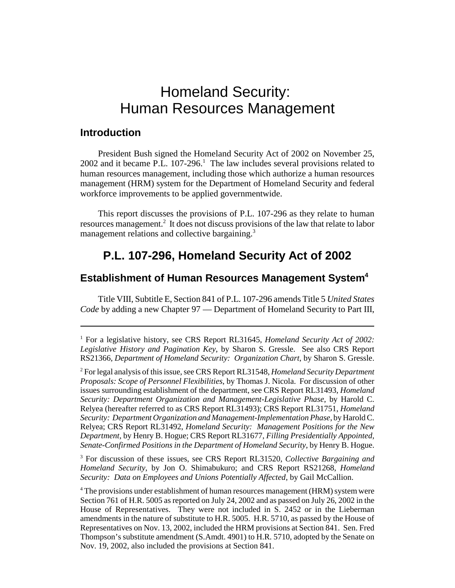# Homeland Security: Human Resources Management

## **Introduction**

President Bush signed the Homeland Security Act of 2002 on November 25,  $2002$  and it became P.L.  $107-296$ .<sup>1</sup> The law includes several provisions related to human resources management, including those which authorize a human resources management (HRM) system for the Department of Homeland Security and federal workforce improvements to be applied governmentwide.

This report discusses the provisions of P.L. 107-296 as they relate to human resources management.<sup>2</sup> It does not discuss provisions of the law that relate to labor management relations and collective bargaining.<sup>3</sup>

# **P.L. 107-296, Homeland Security Act of 2002**

### **Establishment of Human Resources Management System<sup>4</sup>**

Title VIII, Subtitle E, Section 841 of P.L. 107-296 amends Title 5 *United States Code* by adding a new Chapter 97 — Department of Homeland Security to Part III,

3 For discussion of these issues, see CRS Report RL31520, *Collective Bargaining and Homeland Security*, by Jon O. Shimabukuro; and CRS Report RS21268, *Homeland Security: Data on Employees and Unions Potentially Affected*, by Gail McCallion.

<sup>&</sup>lt;sup>1</sup> For a legislative history, see CRS Report RL31645, *Homeland Security Act of 2002: Legislative History and Pagination Key*, by Sharon S. Gressle. See also CRS Report RS21366, *Department of Homeland Security: Organization Chart*, by Sharon S. Gressle.

<sup>2</sup> For legal analysis of this issue, see CRS Report RL31548, *Homeland Security Department Proposals: Scope of Personnel Flexibilities*, by Thomas J. Nicola. For discussion of other issues surrounding establishment of the department, see CRS Report RL31493, *Homeland Security: Department Organization and Management-Legislative Phase*, by Harold C. Relyea (hereafter referred to as CRS Report RL31493); CRS Report RL31751, *Homeland Security: Department Organization and Management-Implementation Phase*, by Harold C. Relyea; CRS Report RL31492, *Homeland Security: Management Positions for the New Department*, by Henry B. Hogue; CRS Report RL31677, *Filling Presidentially Appointed, Senate-Confirmed Positions in the Department of Homeland Security*, by Henry B. Hogue.

<sup>&</sup>lt;sup>4</sup> The provisions under establishment of human resources management (HRM) system were Section 761 of H.R. 5005 as reported on July 24, 2002 and as passed on July 26, 2002 in the House of Representatives. They were not included in S. 2452 or in the Lieberman amendments in the nature of substitute to H.R. 5005. H.R. 5710, as passed by the House of Representatives on Nov. 13, 2002, included the HRM provisions at Section 841. Sen. Fred Thompson's substitute amendment (S.Amdt. 4901) to H.R. 5710, adopted by the Senate on Nov. 19, 2002, also included the provisions at Section 841.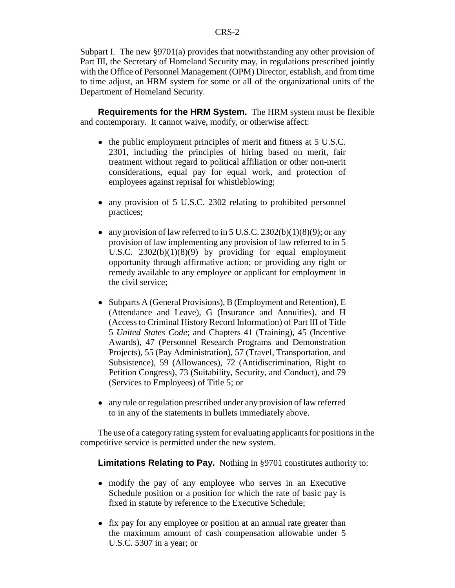Subpart I. The new §9701(a) provides that notwithstanding any other provision of Part III, the Secretary of Homeland Security may, in regulations prescribed jointly with the Office of Personnel Management (OPM) Director, establish, and from time to time adjust, an HRM system for some or all of the organizational units of the Department of Homeland Security.

**Requirements for the HRM System.** The HRM system must be flexible and contemporary. It cannot waive, modify, or otherwise affect:

- the public employment principles of merit and fitness at 5 U.S.C. 2301, including the principles of hiring based on merit, fair treatment without regard to political affiliation or other non-merit considerations, equal pay for equal work, and protection of employees against reprisal for whistleblowing;
- any provision of 5 U.S.C. 2302 relating to prohibited personnel practices;
- any provision of law referred to in 5 U.S.C. 2302(b)(1)(8)(9); or any provision of law implementing any provision of law referred to in 5 U.S.C. 2302(b)(1)(8)(9) by providing for equal employment opportunity through affirmative action; or providing any right or remedy available to any employee or applicant for employment in the civil service;
- Subparts A (General Provisions), B (Employment and Retention), E (Attendance and Leave), G (Insurance and Annuities), and H (Access to Criminal History Record Information) of Part III of Title 5 *United States Code*; and Chapters 41 (Training), 45 (Incentive Awards), 47 (Personnel Research Programs and Demonstration Projects), 55 (Pay Administration), 57 (Travel, Transportation, and Subsistence), 59 (Allowances), 72 (Antidiscrimination, Right to Petition Congress), 73 (Suitability, Security, and Conduct), and 79 (Services to Employees) of Title 5; or
- any rule or regulation prescribed under any provision of law referred to in any of the statements in bullets immediately above.

The use of a category rating system for evaluating applicants for positions in the competitive service is permitted under the new system.

**Limitations Relating to Pay.** Nothing in §9701 constitutes authority to:

- modify the pay of any employee who serves in an Executive Schedule position or a position for which the rate of basic pay is fixed in statute by reference to the Executive Schedule;
- fix pay for any employee or position at an annual rate greater than the maximum amount of cash compensation allowable under 5 U.S.C. 5307 in a year; or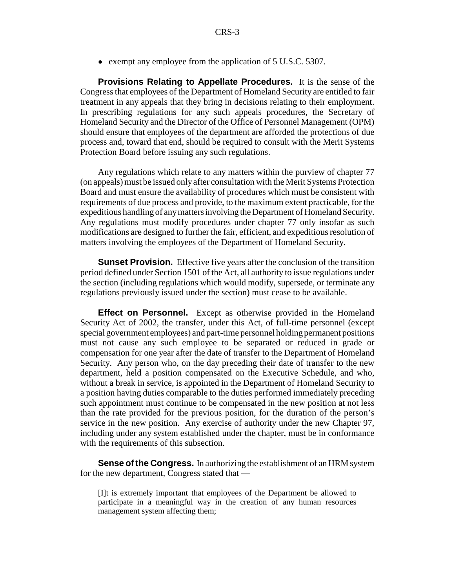• exempt any employee from the application of 5 U.S.C. 5307.

**Provisions Relating to Appellate Procedures.** It is the sense of the Congress that employees of the Department of Homeland Security are entitled to fair treatment in any appeals that they bring in decisions relating to their employment. In prescribing regulations for any such appeals procedures, the Secretary of Homeland Security and the Director of the Office of Personnel Management (OPM) should ensure that employees of the department are afforded the protections of due process and, toward that end, should be required to consult with the Merit Systems Protection Board before issuing any such regulations.

Any regulations which relate to any matters within the purview of chapter 77 (on appeals) must be issued only after consultation with the Merit Systems Protection Board and must ensure the availability of procedures which must be consistent with requirements of due process and provide, to the maximum extent practicable, for the expeditious handling of any matters involving the Department of Homeland Security. Any regulations must modify procedures under chapter 77 only insofar as such modifications are designed to further the fair, efficient, and expeditious resolution of matters involving the employees of the Department of Homeland Security.

**Sunset Provision.** Effective five years after the conclusion of the transition period defined under Section 1501 of the Act, all authority to issue regulations under the section (including regulations which would modify, supersede, or terminate any regulations previously issued under the section) must cease to be available.

**Effect on Personnel.** Except as otherwise provided in the Homeland Security Act of 2002, the transfer, under this Act, of full-time personnel (except special government employees) and part-time personnel holding permanent positions must not cause any such employee to be separated or reduced in grade or compensation for one year after the date of transfer to the Department of Homeland Security. Any person who, on the day preceding their date of transfer to the new department, held a position compensated on the Executive Schedule, and who, without a break in service, is appointed in the Department of Homeland Security to a position having duties comparable to the duties performed immediately preceding such appointment must continue to be compensated in the new position at not less than the rate provided for the previous position, for the duration of the person's service in the new position. Any exercise of authority under the new Chapter 97, including under any system established under the chapter, must be in conformance with the requirements of this subsection.

**Sense of the Congress.** In authorizing the establishment of an HRM system for the new department, Congress stated that —

[I]t is extremely important that employees of the Department be allowed to participate in a meaningful way in the creation of any human resources management system affecting them;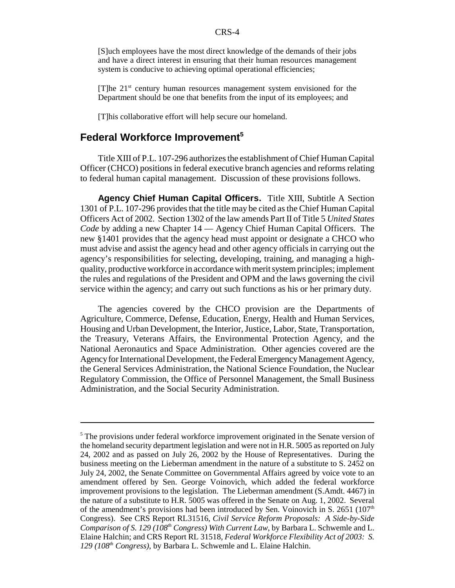[S]uch employees have the most direct knowledge of the demands of their jobs and have a direct interest in ensuring that their human resources management system is conducive to achieving optimal operational efficiencies;

 $[T]$ he  $21<sup>st</sup>$  century human resources management system envisioned for the Department should be one that benefits from the input of its employees; and

[T]his collaborative effort will help secure our homeland.

## **Federal Workforce Improvement5**

Title XIII of P.L. 107-296 authorizes the establishment of Chief Human Capital Officer (CHCO) positions in federal executive branch agencies and reforms relating to federal human capital management. Discussion of these provisions follows.

**Agency Chief Human Capital Officers.** Title XIII, Subtitle A Section 1301 of P.L. 107-296 provides that the title may be cited as the Chief Human Capital Officers Act of 2002. Section 1302 of the law amends Part II of Title 5 *United States Code* by adding a new Chapter 14 — Agency Chief Human Capital Officers. The new §1401 provides that the agency head must appoint or designate a CHCO who must advise and assist the agency head and other agency officials in carrying out the agency's responsibilities for selecting, developing, training, and managing a highquality, productive workforce in accordance with merit system principles; implement the rules and regulations of the President and OPM and the laws governing the civil service within the agency; and carry out such functions as his or her primary duty.

The agencies covered by the CHCO provision are the Departments of Agriculture, Commerce, Defense, Education, Energy, Health and Human Services, Housing and Urban Development, the Interior, Justice, Labor, State, Transportation, the Treasury, Veterans Affairs, the Environmental Protection Agency, and the National Aeronautics and Space Administration. Other agencies covered are the Agency for International Development, the Federal Emergency Management Agency, the General Services Administration, the National Science Foundation, the Nuclear Regulatory Commission, the Office of Personnel Management, the Small Business Administration, and the Social Security Administration.

<sup>&</sup>lt;sup>5</sup> The provisions under federal workforce improvement originated in the Senate version of the homeland security department legislation and were not in H.R. 5005 as reported on July 24, 2002 and as passed on July 26, 2002 by the House of Representatives. During the business meeting on the Lieberman amendment in the nature of a substitute to S. 2452 on July 24, 2002, the Senate Committee on Governmental Affairs agreed by voice vote to an amendment offered by Sen. George Voinovich, which added the federal workforce improvement provisions to the legislation. The Lieberman amendment (S.Amdt. 4467) in the nature of a substitute to H.R. 5005 was offered in the Senate on Aug. 1, 2002. Several of the amendment's provisions had been introduced by Sen. Voinovich in S.  $2651$  ( $107<sup>th</sup>$ ) Congress). See CRS Report RL31516, *Civil Service Reform Proposals: A Side-by-Side Comparison of S. 129 (108th Congress) With Current Law*, by Barbara L. Schwemle and L. Elaine Halchin; and CRS Report RL 31518, *Federal Workforce Flexibility Act of 2003: S. 129 (108th Congress)*, by Barbara L. Schwemle and L. Elaine Halchin.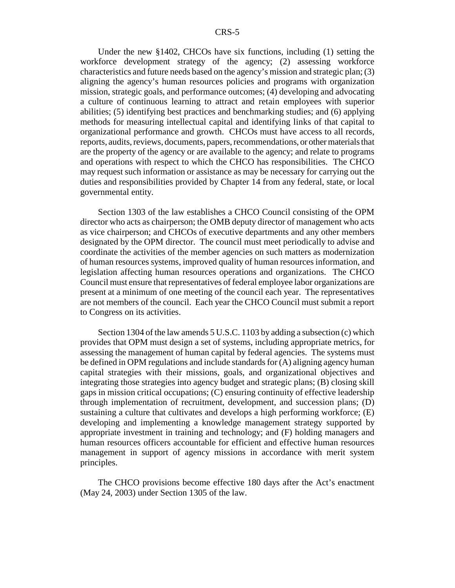Under the new §1402, CHCOs have six functions, including (1) setting the workforce development strategy of the agency; (2) assessing workforce characteristics and future needs based on the agency's mission and strategic plan; (3) aligning the agency's human resources policies and programs with organization mission, strategic goals, and performance outcomes; (4) developing and advocating a culture of continuous learning to attract and retain employees with superior abilities; (5) identifying best practices and benchmarking studies; and (6) applying methods for measuring intellectual capital and identifying links of that capital to organizational performance and growth. CHCOs must have access to all records, reports, audits, reviews, documents, papers, recommendations, or other materials that are the property of the agency or are available to the agency; and relate to programs and operations with respect to which the CHCO has responsibilities. The CHCO may request such information or assistance as may be necessary for carrying out the duties and responsibilities provided by Chapter 14 from any federal, state, or local governmental entity.

Section 1303 of the law establishes a CHCO Council consisting of the OPM director who acts as chairperson; the OMB deputy director of management who acts as vice chairperson; and CHCOs of executive departments and any other members designated by the OPM director. The council must meet periodically to advise and coordinate the activities of the member agencies on such matters as modernization of human resources systems, improved quality of human resources information, and legislation affecting human resources operations and organizations. The CHCO Council must ensure that representatives of federal employee labor organizations are present at a minimum of one meeting of the council each year. The representatives are not members of the council. Each year the CHCO Council must submit a report to Congress on its activities.

Section 1304 of the law amends 5 U.S.C. 1103 by adding a subsection (c) which provides that OPM must design a set of systems, including appropriate metrics, for assessing the management of human capital by federal agencies. The systems must be defined in OPM regulations and include standards for (A) aligning agency human capital strategies with their missions, goals, and organizational objectives and integrating those strategies into agency budget and strategic plans; (B) closing skill gaps in mission critical occupations; (C) ensuring continuity of effective leadership through implementation of recruitment, development, and succession plans; (D) sustaining a culture that cultivates and develops a high performing workforce; (E) developing and implementing a knowledge management strategy supported by appropriate investment in training and technology; and (F) holding managers and human resources officers accountable for efficient and effective human resources management in support of agency missions in accordance with merit system principles.

The CHCO provisions become effective 180 days after the Act's enactment (May 24, 2003) under Section 1305 of the law.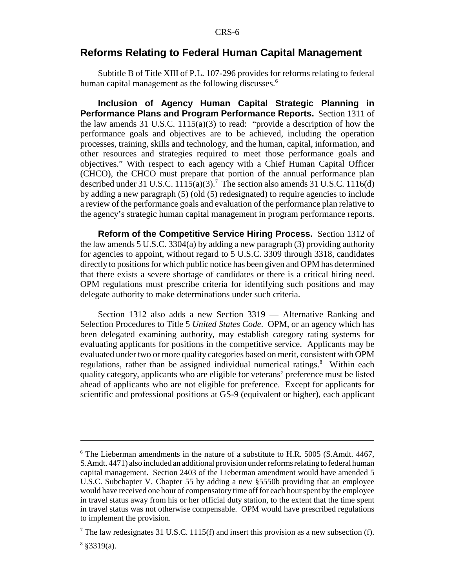#### **Reforms Relating to Federal Human Capital Management**

Subtitle B of Title XIII of P.L. 107-296 provides for reforms relating to federal human capital management as the following discusses.<sup>6</sup>

**Inclusion of Agency Human Capital Strategic Planning in Performance Plans and Program Performance Reports.** Section 1311 of the law amends 31 U.S.C.  $1115(a)(3)$  to read: "provide a description of how the performance goals and objectives are to be achieved, including the operation processes, training, skills and technology, and the human, capital, information, and other resources and strategies required to meet those performance goals and objectives." With respect to each agency with a Chief Human Capital Officer (CHCO), the CHCO must prepare that portion of the annual performance plan described under 31 U.S.C.  $1115(a)(3)$ .<sup>7</sup> The section also amends 31 U.S.C. 1116(d) by adding a new paragraph (5) (old (5) redesignated) to require agencies to include a review of the performance goals and evaluation of the performance plan relative to the agency's strategic human capital management in program performance reports.

**Reform of the Competitive Service Hiring Process.** Section 1312 of the law amends 5 U.S.C. 3304(a) by adding a new paragraph (3) providing authority for agencies to appoint, without regard to 5 U.S.C. 3309 through 3318, candidates directly to positions for which public notice has been given and OPM has determined that there exists a severe shortage of candidates or there is a critical hiring need. OPM regulations must prescribe criteria for identifying such positions and may delegate authority to make determinations under such criteria.

Section 1312 also adds a new Section 3319 — Alternative Ranking and Selection Procedures to Title 5 *United States Code*. OPM, or an agency which has been delegated examining authority, may establish category rating systems for evaluating applicants for positions in the competitive service. Applicants may be evaluated under two or more quality categories based on merit, consistent with OPM regulations, rather than be assigned individual numerical ratings.<sup>8</sup> Within each quality category, applicants who are eligible for veterans' preference must be listed ahead of applicants who are not eligible for preference. Except for applicants for scientific and professional positions at GS-9 (equivalent or higher), each applicant

<sup>&</sup>lt;sup>6</sup> The Lieberman amendments in the nature of a substitute to H.R. 5005 (S.Amdt. 4467, S.Amdt. 4471) also included an additional provision under reforms relating to federal human capital management. Section 2403 of the Lieberman amendment would have amended 5 U.S.C. Subchapter V, Chapter 55 by adding a new §5550b providing that an employee would have received one hour of compensatory time off for each hour spent by the employee in travel status away from his or her official duty station, to the extent that the time spent in travel status was not otherwise compensable. OPM would have prescribed regulations to implement the provision.

<sup>&</sup>lt;sup>7</sup> The law redesignates 31 U.S.C. 1115(f) and insert this provision as a new subsection (f).

 $8$  §3319(a).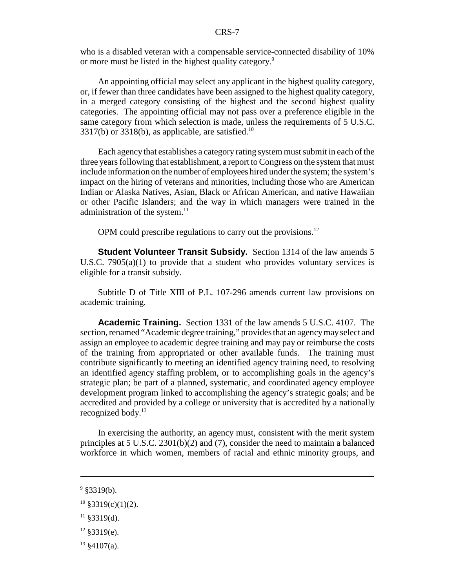who is a disabled veteran with a compensable service-connected disability of 10% or more must be listed in the highest quality category.<sup>9</sup>

An appointing official may select any applicant in the highest quality category, or, if fewer than three candidates have been assigned to the highest quality category, in a merged category consisting of the highest and the second highest quality categories. The appointing official may not pass over a preference eligible in the same category from which selection is made, unless the requirements of 5 U.S.C.  $3317(b)$  or  $3318(b)$ , as applicable, are satisfied.<sup>10</sup>

Each agency that establishes a category rating system must submit in each of the three years following that establishment, a report to Congress on the system that must include information on the number of employees hired under the system; the system's impact on the hiring of veterans and minorities, including those who are American Indian or Alaska Natives, Asian, Black or African American, and native Hawaiian or other Pacific Islanders; and the way in which managers were trained in the administration of the system. $^{11}$ 

OPM could prescribe regulations to carry out the provisions.<sup>12</sup>

**Student Volunteer Transit Subsidy.** Section 1314 of the law amends 5 U.S.C. 7905(a)(1) to provide that a student who provides voluntary services is eligible for a transit subsidy.

Subtitle D of Title XIII of P.L. 107-296 amends current law provisions on academic training.

**Academic Training.** Section 1331 of the law amends 5 U.S.C. 4107. The section, renamed "Academic degree training," provides that an agency may select and assign an employee to academic degree training and may pay or reimburse the costs of the training from appropriated or other available funds. The training must contribute significantly to meeting an identified agency training need, to resolving an identified agency staffing problem, or to accomplishing goals in the agency's strategic plan; be part of a planned, systematic, and coordinated agency employee development program linked to accomplishing the agency's strategic goals; and be accredited and provided by a college or university that is accredited by a nationally recognized body.<sup>13</sup>

In exercising the authority, an agency must, consistent with the merit system principles at 5 U.S.C. 2301(b)(2) and (7), consider the need to maintain a balanced workforce in which women, members of racial and ethnic minority groups, and

- $11$  §3319(d).
- $12$  §3319(e).
- $13 \& 4107(a)$ .

 $9$  §3319(b).

 $10\$ §3319(c)(1)(2).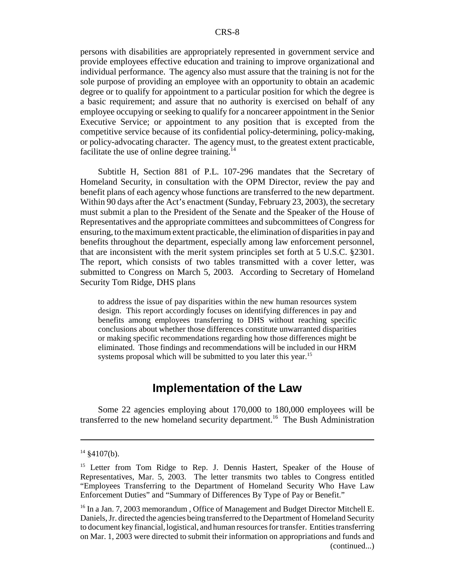persons with disabilities are appropriately represented in government service and provide employees effective education and training to improve organizational and individual performance. The agency also must assure that the training is not for the sole purpose of providing an employee with an opportunity to obtain an academic degree or to qualify for appointment to a particular position for which the degree is a basic requirement; and assure that no authority is exercised on behalf of any employee occupying or seeking to qualify for a noncareer appointment in the Senior Executive Service; or appointment to any position that is excepted from the competitive service because of its confidential policy-determining, policy-making, or policy-advocating character. The agency must, to the greatest extent practicable, facilitate the use of online degree training. $14$ 

Subtitle H, Section 881 of P.L. 107-296 mandates that the Secretary of Homeland Security, in consultation with the OPM Director, review the pay and benefit plans of each agency whose functions are transferred to the new department. Within 90 days after the Act's enactment (Sunday, February 23, 2003), the secretary must submit a plan to the President of the Senate and the Speaker of the House of Representatives and the appropriate committees and subcommittees of Congress for ensuring, to the maximum extent practicable, the elimination of disparities in pay and benefits throughout the department, especially among law enforcement personnel, that are inconsistent with the merit system principles set forth at 5 U.S.C. §2301. The report, which consists of two tables transmitted with a cover letter, was submitted to Congress on March 5, 2003. According to Secretary of Homeland Security Tom Ridge, DHS plans

to address the issue of pay disparities within the new human resources system design. This report accordingly focuses on identifying differences in pay and benefits among employees transferring to DHS without reaching specific conclusions about whether those differences constitute unwarranted disparities or making specific recommendations regarding how those differences might be eliminated. Those findings and recommendations will be included in our HRM systems proposal which will be submitted to you later this year.<sup>15</sup>

## **Implementation of the Law**

Some 22 agencies employing about 170,000 to 180,000 employees will be transferred to the new homeland security department.<sup>16</sup> The Bush Administration

 $14$  §4107(b).

<sup>&</sup>lt;sup>15</sup> Letter from Tom Ridge to Rep. J. Dennis Hastert, Speaker of the House of Representatives, Mar. 5, 2003. The letter transmits two tables to Congress entitled "Employees Transferring to the Department of Homeland Security Who Have Law Enforcement Duties" and "Summary of Differences By Type of Pay or Benefit."

<sup>&</sup>lt;sup>16</sup> In a Jan. 7, 2003 memorandum, Office of Management and Budget Director Mitchell E. Daniels, Jr. directed the agencies being transferred to the Department of Homeland Security to document key financial, logistical, and human resources for transfer. Entities transferring on Mar. 1, 2003 were directed to submit their information on appropriations and funds and (continued...)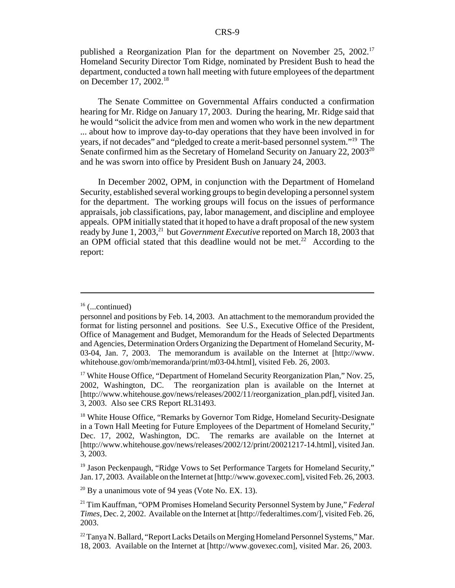published a Reorganization Plan for the department on November 25, 2002.<sup>17</sup> Homeland Security Director Tom Ridge, nominated by President Bush to head the department, conducted a town hall meeting with future employees of the department on December 17, 2002.<sup>18</sup>

The Senate Committee on Governmental Affairs conducted a confirmation hearing for Mr. Ridge on January 17, 2003. During the hearing, Mr. Ridge said that he would "solicit the advice from men and women who work in the new department ... about how to improve day-to-day operations that they have been involved in for years, if not decades" and "pledged to create a merit-based personnel system."19 The Senate confirmed him as the Secretary of Homeland Security on January 22, 2003<sup>20</sup> and he was sworn into office by President Bush on January 24, 2003.

In December 2002, OPM, in conjunction with the Department of Homeland Security, established several working groups to begin developing a personnel system for the department. The working groups will focus on the issues of performance appraisals, job classifications, pay, labor management, and discipline and employee appeals. OPM initially stated that it hoped to have a draft proposal of the new system ready by June 1, 2003,<sup>21</sup> but *Government Executive* reported on March 18, 2003 that an OPM official stated that this deadline would not be met.<sup>22</sup> According to the report:

<sup>19</sup> Jason Peckenpaugh, "Ridge Vows to Set Performance Targets for Homeland Security," Jan. 17, 2003. Available on the Internet at [http://www.govexec.com], visited Feb. 26, 2003.

 $20$  By a unanimous vote of 94 yeas (Vote No. EX. 13).

 $16$  (...continued)

personnel and positions by Feb. 14, 2003. An attachment to the memorandum provided the format for listing personnel and positions. See U.S., Executive Office of the President, Office of Management and Budget, Memorandum for the Heads of Selected Departments and Agencies, Determination Orders Organizing the Department of Homeland Security, M-03-04, Jan. 7, 2003. The memorandum is available on the Internet at [http://www. whitehouse.gov/omb/memoranda/print/m03-04.html], visited Feb. 26, 2003.

<sup>&</sup>lt;sup>17</sup> White House Office, "Department of Homeland Security Reorganization Plan," Nov. 25, 2002, Washington, DC. The reorganization plan is available on the Internet at [http://www.whitehouse.gov/news/releases/2002/11/reorganization\_plan.pdf], visited Jan. 3, 2003. Also see CRS Report RL31493.

<sup>&</sup>lt;sup>18</sup> White House Office, "Remarks by Governor Tom Ridge, Homeland Security-Designate in a Town Hall Meeting for Future Employees of the Department of Homeland Security," Dec. 17, 2002, Washington, DC. The remarks are available on the Internet at [http://www.whitehouse.gov/news/releases/2002/12/print/20021217-14.html], visited Jan. 3, 2003.

<sup>21</sup> Tim Kauffman, "OPM Promises Homeland Security Personnel System by June," *Federal Times*, Dec. 2, 2002. Available on the Internet at [http://federaltimes.com/], visited Feb. 26, 2003.

 $^{22}$  Tanya N. Ballard, "Report Lacks Details on Merging Homeland Personnel Systems," Mar. 18, 2003. Available on the Internet at [http://www.govexec.com], visited Mar. 26, 2003.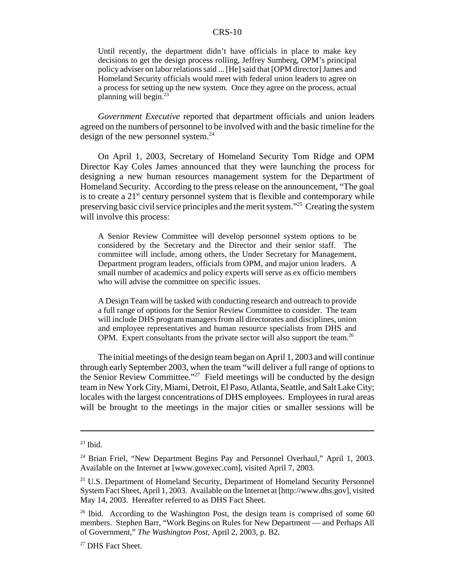Until recently, the department didn't have officials in place to make key decisions to get the design process rolling, Jeffrey Sumberg, OPM's principal policy adviser on labor relations said ... [He] said that [OPM director] James and Homeland Security officials would meet with federal union leaders to agree on a process for setting up the new system. Once they agree on the process, actual planning will begin. $23$ 

*Government Executive* reported that department officials and union leaders agreed on the numbers of personnel to be involved with and the basic timeline for the design of the new personnel system. $^{24}$ 

On April 1, 2003, Secretary of Homeland Security Tom Ridge and OPM Director Kay Coles James announced that they were launching the process for designing a new human resources management system for the Department of Homeland Security. According to the press release on the announcement, "The goal is to create a  $21<sup>st</sup>$  century personnel system that is flexible and contemporary while preserving basic civil service principles and the merit system."25 Creating the system will involve this process:

A Senior Review Committee will develop personnel system options to be considered by the Secretary and the Director and their senior staff. The committee will include, among others, the Under Secretary for Management, Department program leaders, officials from OPM, and major union leaders. A small number of academics and policy experts will serve as ex officio members who will advise the committee on specific issues.

A Design Team will be tasked with conducting research and outreach to provide a full range of options for the Senior Review Committee to consider. The team will include DHS program managers from all directorates and disciplines, union and employee representatives and human resource specialists from DHS and OPM. Expert consultants from the private sector will also support the team.<sup>26</sup>

The initial meetings of the design team began on April 1, 2003 and will continue through early September 2003, when the team "will deliver a full range of options to the Senior Review Committee."<sup>27</sup> Field meetings will be conducted by the design team in New York City, Miami, Detroit, El Paso, Atlanta, Seattle, and Salt Lake City; locales with the largest concentrations of DHS employees. Employees in rural areas will be brought to the meetings in the major cities or smaller sessions will be

 $23$  Ibid.

<sup>&</sup>lt;sup>24</sup> Brian Friel, "New Department Begins Pay and Personnel Overhaul," April 1, 2003. Available on the Internet at [www.govexec.com], visited April 7, 2003.

<sup>&</sup>lt;sup>25</sup> U.S. Department of Homeland Security, Department of Homeland Security Personnel System Fact Sheet, April 1, 2003. Available on the Internet at [http://www.dhs.gov], visited May 14, 2003. Hereafter referred to as DHS Fact Sheet.

<sup>&</sup>lt;sup>26</sup> Ibid. According to the Washington Post, the design team is comprised of some 60 members. Stephen Barr, "Work Begins on Rules for New Department — and Perhaps All of Government," *The Washington Post*, April 2, 2003, p. B2.

<sup>&</sup>lt;sup>27</sup> DHS Fact Sheet.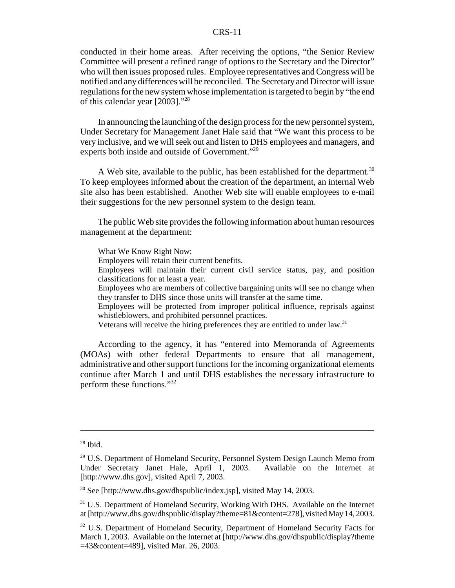conducted in their home areas. After receiving the options, "the Senior Review Committee will present a refined range of options to the Secretary and the Director" who will then issues proposed rules. Employee representatives and Congress will be notified and any differences will be reconciled. The Secretary and Director will issue regulations for the new system whose implementation is targeted to begin by "the end of this calendar year [2003]."28

In announcing the launching of the design process for the new personnel system, Under Secretary for Management Janet Hale said that "We want this process to be very inclusive, and we will seek out and listen to DHS employees and managers, and experts both inside and outside of Government."<sup>29</sup>

A Web site, available to the public, has been established for the department.<sup>30</sup> To keep employees informed about the creation of the department, an internal Web site also has been established. Another Web site will enable employees to e-mail their suggestions for the new personnel system to the design team.

The public Web site provides the following information about human resources management at the department:

What We Know Right Now:

Employees will retain their current benefits.

Employees will maintain their current civil service status, pay, and position classifications for at least a year.

Employees who are members of collective bargaining units will see no change when they transfer to DHS since those units will transfer at the same time.

Employees will be protected from improper political influence, reprisals against whistleblowers, and prohibited personnel practices.

Veterans will receive the hiring preferences they are entitled to under law.<sup>31</sup>

According to the agency, it has "entered into Memoranda of Agreements (MOAs) with other federal Departments to ensure that all management, administrative and other support functions for the incoming organizational elements continue after March 1 and until DHS establishes the necessary infrastructure to perform these functions."32

 $28$  Ibid.

 $29$  U.S. Department of Homeland Security, Personnel System Design Launch Memo from Under Secretary Janet Hale, April 1, 2003. Available on the Internet at [http://www.dhs.gov], visited April 7, 2003.

<sup>30</sup> See [http://www.dhs.gov/dhspublic/index.jsp], visited May 14, 2003.

<sup>&</sup>lt;sup>31</sup> U.S. Department of Homeland Security, Working With DHS. Available on the Internet at [http://www.dhs.gov/dhspublic/display?theme=81&content=278], visited May 14, 2003.

<sup>&</sup>lt;sup>32</sup> U.S. Department of Homeland Security, Department of Homeland Security Facts for March 1, 2003. Available on the Internet at [http://www.dhs.gov/dhspublic/display?theme =43&content=489], visited Mar. 26, 2003.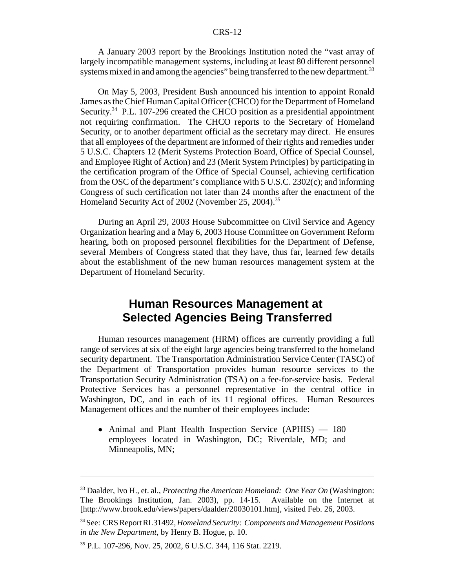A January 2003 report by the Brookings Institution noted the "vast array of largely incompatible management systems, including at least 80 different personnel systems mixed in and among the agencies" being transferred to the new department.<sup>33</sup>

On May 5, 2003, President Bush announced his intention to appoint Ronald James as the Chief Human Capital Officer (CHCO) for the Department of Homeland Security.<sup>34</sup> P.L. 107-296 created the CHCO position as a presidential appointment not requiring confirmation. The CHCO reports to the Secretary of Homeland Security, or to another department official as the secretary may direct. He ensures that all employees of the department are informed of their rights and remedies under 5 U.S.C. Chapters 12 (Merit Systems Protection Board, Office of Special Counsel, and Employee Right of Action) and 23 (Merit System Principles) by participating in the certification program of the Office of Special Counsel, achieving certification from the OSC of the department's compliance with  $5 \text{ U.S.C. } 2302(c)$ ; and informing Congress of such certification not later than 24 months after the enactment of the Homeland Security Act of 2002 (November 25, 2004).<sup>35</sup>

During an April 29, 2003 House Subcommittee on Civil Service and Agency Organization hearing and a May 6, 2003 House Committee on Government Reform hearing, both on proposed personnel flexibilities for the Department of Defense, several Members of Congress stated that they have, thus far, learned few details about the establishment of the new human resources management system at the Department of Homeland Security.

## **Human Resources Management at Selected Agencies Being Transferred**

Human resources management (HRM) offices are currently providing a full range of services at six of the eight large agencies being transferred to the homeland security department. The Transportation Administration Service Center (TASC) of the Department of Transportation provides human resource services to the Transportation Security Administration (TSA) on a fee-for-service basis. Federal Protective Services has a personnel representative in the central office in Washington, DC, and in each of its 11 regional offices. Human Resources Management offices and the number of their employees include:

• Animal and Plant Health Inspection Service (APHIS) — 180 employees located in Washington, DC; Riverdale, MD; and Minneapolis, MN;

<sup>33</sup> Daalder, Ivo H., et. al., *Protecting the American Homeland: One Year On* (Washington: The Brookings Institution, Jan. 2003), pp. 14-15. Available on the Internet at [http://www.brook.edu/views/papers/daalder/20030101.htm], visited Feb. 26, 2003.

<sup>34</sup> See: CRS Report RL31492, *Homeland Security: Components and Management Positions in the New Department*, by Henry B. Hogue, p. 10.

<sup>35</sup> P.L. 107-296, Nov. 25, 2002, 6 U.S.C. 344, 116 Stat. 2219.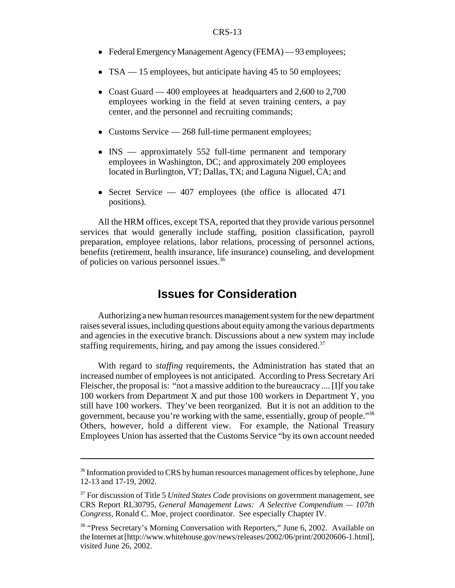- Federal Emergency Management Agency (FEMA) 93 employees;
- TSA 15 employees, but anticipate having 45 to 50 employees;
- Coast Guard 400 employees at headquarters and  $2,600$  to  $2,700$ employees working in the field at seven training centers, a pay center, and the personnel and recruiting commands;
- Customs Service 268 full-time permanent employees;
- INS approximately 552 full-time permanent and temporary employees in Washington, DC; and approximately 200 employees located in Burlington, VT; Dallas, TX; and Laguna Niguel, CA; and
- Secret Service 407 employees (the office is allocated 471 positions).

All the HRM offices, except TSA, reported that they provide various personnel services that would generally include staffing, position classification, payroll preparation, employee relations, labor relations, processing of personnel actions, benefits (retirement, health insurance, life insurance) counseling, and development of policies on various personnel issues.36

## **Issues for Consideration**

Authorizing a new human resources management system for the new department raises several issues, including questions about equity among the various departments and agencies in the executive branch. Discussions about a new system may include staffing requirements, hiring, and pay among the issues considered.<sup>37</sup>

With regard to *staffing* requirements, the Administration has stated that an increased number of employees is not anticipated. According to Press Secretary Ari Fleischer, the proposal is: "not a massive addition to the bureaucracy .... [I]f you take 100 workers from Department X and put those 100 workers in Department Y, you still have 100 workers. They've been reorganized. But it is not an addition to the government, because you're working with the same, essentially, group of people."38 Others, however, hold a different view. For example, the National Treasury Employees Union has asserted that the Customs Service "by its own account needed

<sup>&</sup>lt;sup>36</sup> Information provided to CRS by human resources management offices by telephone, June 12-13 and 17-19, 2002.

<sup>&</sup>lt;sup>37</sup> For discussion of Title 5 *United States Code* provisions on government management, see CRS Report RL30795, *General Management Laws: A Selective Compendium — 107th Congress*, Ronald C. Moe, project coordinator. See especially Chapter IV.

<sup>&</sup>lt;sup>38</sup> "Press Secretary's Morning Conversation with Reporters," June 6, 2002. Available on the Internet at [http://www.whitehouse.gov/news/releases/2002/06/print/20020606-1.html], visited June 26, 2002.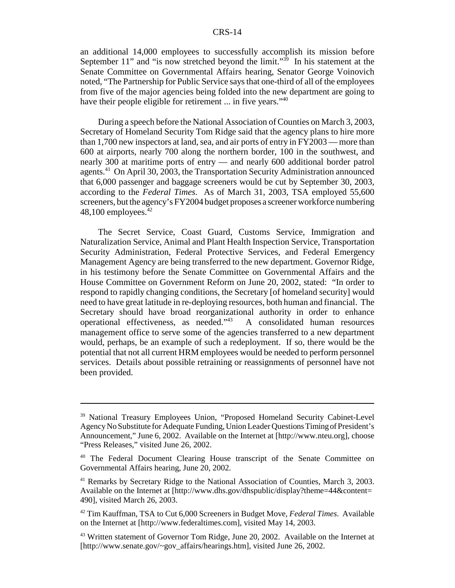an additional 14,000 employees to successfully accomplish its mission before September 11" and "is now stretched beyond the limit." $\frac{3}{9}$  In his statement at the Senate Committee on Governmental Affairs hearing, Senator George Voinovich noted, "The Partnership for Public Service says that one-third of all of the employees from five of the major agencies being folded into the new department are going to have their people eligible for retirement ... in five years."<sup>40</sup>

During a speech before the National Association of Counties on March 3, 2003, Secretary of Homeland Security Tom Ridge said that the agency plans to hire more than 1,700 new inspectors at land, sea, and air ports of entry in FY2003 — more than 600 at airports, nearly 700 along the northern border, 100 in the southwest, and nearly 300 at maritime ports of entry — and nearly 600 additional border patrol agents.41 On April 30, 2003, the Transportation Security Administration announced that 6,000 passenger and baggage screeners would be cut by September 30, 2003, according to the *Federal Times*. As of March 31, 2003, TSA employed 55,600 screeners, but the agency's FY2004 budget proposes a screener workforce numbering 48,100 employees. $42$ 

The Secret Service, Coast Guard, Customs Service, Immigration and Naturalization Service, Animal and Plant Health Inspection Service, Transportation Security Administration, Federal Protective Services, and Federal Emergency Management Agency are being transferred to the new department. Governor Ridge, in his testimony before the Senate Committee on Governmental Affairs and the House Committee on Government Reform on June 20, 2002, stated: "In order to respond to rapidly changing conditions, the Secretary [of homeland security] would need to have great latitude in re-deploying resources, both human and financial. The Secretary should have broad reorganizational authority in order to enhance operational effectiveness, as needed."43 A consolidated human resources management office to serve some of the agencies transferred to a new department would, perhaps, be an example of such a redeployment. If so, there would be the potential that not all current HRM employees would be needed to perform personnel services. Details about possible retraining or reassignments of personnel have not been provided.

<sup>&</sup>lt;sup>39</sup> National Treasury Employees Union, "Proposed Homeland Security Cabinet-Level Agency No Substitute for Adequate Funding, Union Leader Questions Timing of President's Announcement," June 6, 2002. Available on the Internet at [http://www.nteu.org], choose "Press Releases," visited June 26, 2002.

<sup>&</sup>lt;sup>40</sup> The Federal Document Clearing House transcript of the Senate Committee on Governmental Affairs hearing, June 20, 2002.

<sup>&</sup>lt;sup>41</sup> Remarks by Secretary Ridge to the National Association of Counties, March 3, 2003. Available on the Internet at [http://www.dhs.gov/dhspublic/display?theme=44&content= 490], visited March 26, 2003.

<sup>42</sup> Tim Kauffman, TSA to Cut 6,000 Screeners in Budget Move, *Federal Times*. Available on the Internet at [http://www.federaltimes.com], visited May 14, 2003.

<sup>&</sup>lt;sup>43</sup> Written statement of Governor Tom Ridge, June 20, 2002. Available on the Internet at [http://www.senate.gov/~gov\_affairs/hearings.htm], visited June 26, 2002.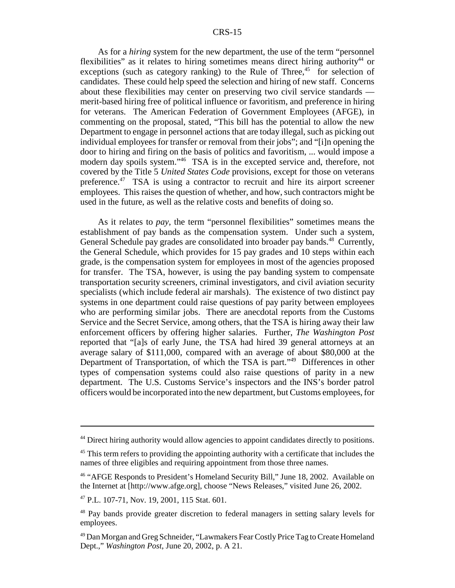As for a *hiring* system for the new department, the use of the term "personnel flexibilities" as it relates to hiring sometimes means direct hiring authority<sup>44</sup> or exceptions (such as category ranking) to the Rule of Three,<sup>45</sup> for selection of candidates. These could help speed the selection and hiring of new staff. Concerns about these flexibilities may center on preserving two civil service standards merit-based hiring free of political influence or favoritism, and preference in hiring for veterans. The American Federation of Government Employees (AFGE), in commenting on the proposal, stated, "This bill has the potential to allow the new Department to engage in personnel actions that are today illegal, such as picking out individual employees for transfer or removal from their jobs"; and "[i]n opening the door to hiring and firing on the basis of politics and favoritism, ... would impose a modern day spoils system."<sup>46</sup> TSA is in the excepted service and, therefore, not covered by the Title 5 *United States Code* provisions, except for those on veterans preference.<sup>47</sup> TSA is using a contractor to recruit and hire its airport screener employees. This raises the question of whether, and how, such contractors might be used in the future, as well as the relative costs and benefits of doing so.

As it relates to *pay*, the term "personnel flexibilities" sometimes means the establishment of pay bands as the compensation system. Under such a system, General Schedule pay grades are consolidated into broader pay bands.<sup>48</sup> Currently, the General Schedule, which provides for 15 pay grades and 10 steps within each grade, is the compensation system for employees in most of the agencies proposed for transfer. The TSA, however, is using the pay banding system to compensate transportation security screeners, criminal investigators, and civil aviation security specialists (which include federal air marshals). The existence of two distinct pay systems in one department could raise questions of pay parity between employees who are performing similar jobs. There are anecdotal reports from the Customs Service and the Secret Service, among others, that the TSA is hiring away their law enforcement officers by offering higher salaries. Further, *The Washington Post* reported that "[a]s of early June, the TSA had hired 39 general attorneys at an average salary of \$111,000, compared with an average of about \$80,000 at the Department of Transportation, of which the TSA is part."49 Differences in other types of compensation systems could also raise questions of parity in a new department. The U.S. Customs Service's inspectors and the INS's border patrol officers would be incorporated into the new department, but Customs employees, for

<sup>&</sup>lt;sup>44</sup> Direct hiring authority would allow agencies to appoint candidates directly to positions.

 $45$  This term refers to providing the appointing authority with a certificate that includes the names of three eligibles and requiring appointment from those three names.

<sup>46 &</sup>quot;AFGE Responds to President's Homeland Security Bill," June 18, 2002. Available on the Internet at [http://www.afge.org], choose "News Releases," visited June 26, 2002.

<sup>47</sup> P.L. 107-71, Nov. 19, 2001, 115 Stat. 601.

<sup>&</sup>lt;sup>48</sup> Pay bands provide greater discretion to federal managers in setting salary levels for employees.

<sup>49</sup> Dan Morgan and Greg Schneider, "Lawmakers Fear Costly Price Tag to Create Homeland Dept.," *Washington Post*, June 20, 2002, p. A 21.